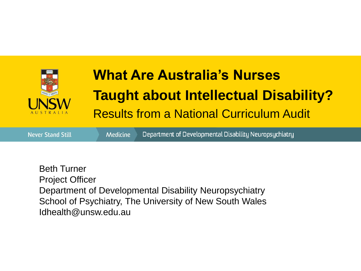

# **What Are Australia's Nurses Taught about Intellectual Disability?**  Results from a National Curriculum Audit

**Never Stand Still** 

**Medicine** 

Department of Developmental Disability Neuropsychiatry

Beth Turner Project Officer Department of Developmental Disability Neuropsychiatry School of Psychiatry, The University of New South Wales Idhealth@unsw.edu.au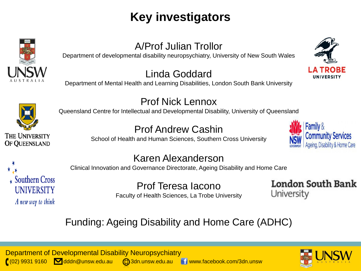### **Key investigators**



### A/Prof Julian Trollor

Department of developmental disability neuropsychiatry, University of New South Wales

#### Linda Goddard

Department of Mental Health and Learning Disabilities, London South Bank University





OF QUEENSLAND

#### Prof Nick Lennox

Queensland Centre for Intellectual and Developmental Disability, University of Queensland

### Prof Andrew Cashin

School of Health and Human Sciences, Southern Cross University





#### Karen Alexanderson

Clinical Innovation and Governance Directorate, Ageing Disability and Home Care

Prof Teresa Iacono Faculty of Health Sciences, La Trobe University **London South Bank** University

### Funding: Ageing Disability and Home Care (ADHC)

Department of Developmental Disability Neuropsychiatry  $\left( \begin{array}{ccc} \cdot & \cdot & \cdot \\ \cdot & \cdot & \cdot \\ \cdot & \cdot & \cdot \end{array} \right)$ dddn@unsw.edu.au  $\left( \begin{array}{ccc} \cdot & \cdot & \cdot \\ \cdot & \cdot & \cdot \\ \cdot & \cdot & \cdot \end{array} \right)$  o an eus ac ddn au wedu.au www.facebook.com/3dn.unsw

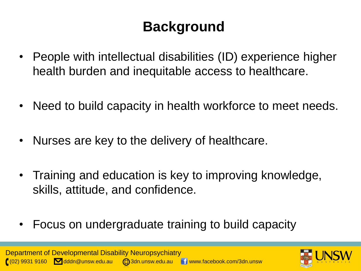### **Background**

- People with intellectual disabilities (ID) experience higher health burden and inequitable access to healthcare.
- Need to build capacity in health workforce to meet needs.
- Nurses are key to the delivery of healthcare.
- Training and education is key to improving knowledge, skills, attitude, and confidence.
- Focus on undergraduate training to build capacity

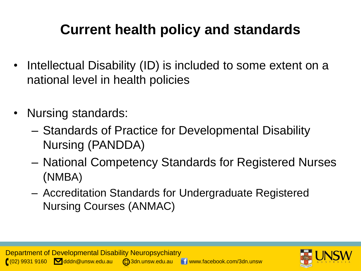# **Current health policy and standards**

- Intellectual Disability (ID) is included to some extent on a national level in health policies
- Nursing standards:
	- Standards of Practice for Developmental Disability Nursing (PANDDA)
	- National Competency Standards for Registered Nurses (NMBA)
	- Accreditation Standards for Undergraduate Registered Nursing Courses (ANMAC)

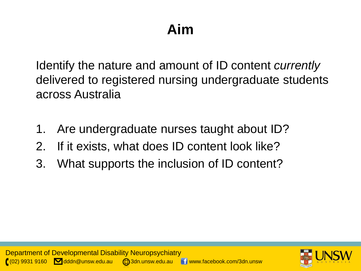# **Aim**

Identify the nature and amount of ID content *currently* delivered to registered nursing undergraduate students across Australia

- 1. Are undergraduate nurses taught about ID?
- 2. If it exists, what does ID content look like?
- 3. What supports the inclusion of ID content?

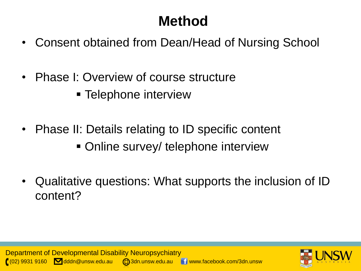# **Method**

- Consent obtained from Dean/Head of Nursing School
- Phase I: Overview of course structure
	- **Telephone interview**
- Phase II: Details relating to ID specific content
	- Online survey/ telephone interview
- Qualitative questions: What supports the inclusion of ID content?

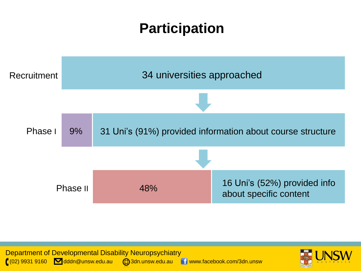### **Participation**





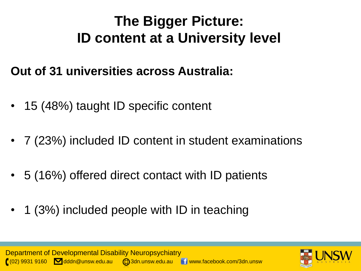### **The Bigger Picture: ID content at a University level**

### **Out of 31 universities across Australia:**

- 15 (48%) taught ID specific content
- 7 (23%) included ID content in student examinations
- 5 (16%) offered direct contact with ID patients
- 1 (3%) included people with ID in teaching



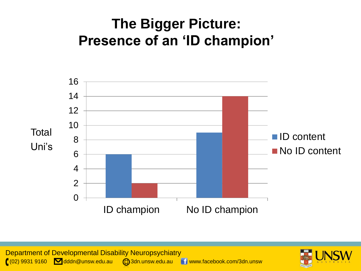### **The Bigger Picture: Presence of an 'ID champion'**



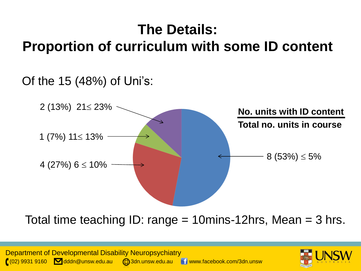### **The Details: Proportion of curriculum with some ID content**

### Of the 15 (48%) of Uni's:



Total time teaching ID: range = 10mins-12hrs, Mean = 3 hrs.

Department of Developmental Disability Neuropsychiatry  $(0,0)$  9931 9160  $\blacksquare$  dddn@unsw.edu.au  $\blacksquare$ 3dn.unsw.edu.au  $\blacksquare$  www.facebook.com/3dn.unsw

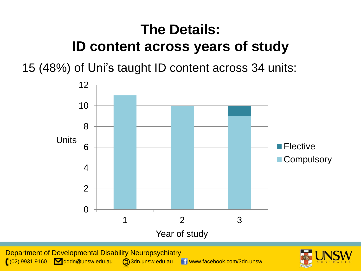# **The Details: ID content across years of study**

15 (48%) of Uni's taught ID content across 34 units:



Department of Developmental Disability Neuropsychiatry ( $(02)$  9931 9160  $\blacksquare$  dddn@unsw.edu.au  $\enspace$  3dn.unsw.edu.au  $\enspace$   $\blacksquare$  www.facebook.com/3dn.unsw

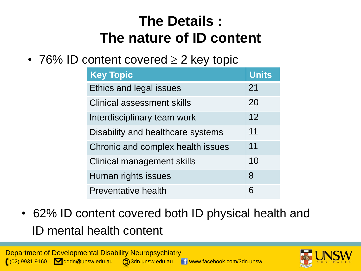# **The Details : The nature of ID content**

• 76% ID content covered  $\geq 2$  key topic

| <b>Key Topic</b>                  | <b>Units</b> |
|-----------------------------------|--------------|
| <b>Ethics and legal issues</b>    | 21           |
| <b>Clinical assessment skills</b> | 20           |
| Interdisciplinary team work       | 12           |
| Disability and healthcare systems | 11           |
| Chronic and complex health issues | 11           |
| <b>Clinical management skills</b> | 10           |
| Human rights issues               | 8            |
| <b>Preventative health</b>        | 6            |

• 62% ID content covered both ID physical health and ID mental health content



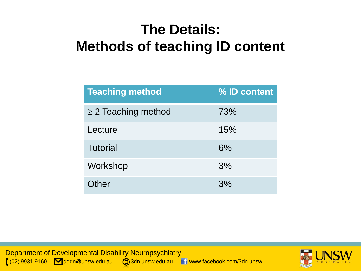### **The Details: Methods of teaching ID content**

| <b>Teaching method</b>   | % ID content |
|--------------------------|--------------|
| $\geq$ 2 Teaching method | 73%          |
| Lecture                  | 15%          |
| <b>Tutorial</b>          | 6%           |
| Workshop                 | 3%           |
| Other                    | 3%           |

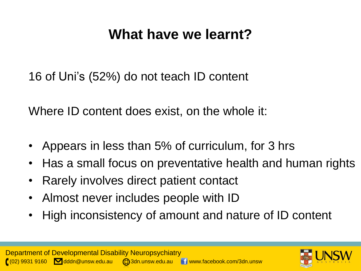### **What have we learnt?**

16 of Uni's (52%) do not teach ID content

Where ID content does exist, on the whole it:

- Appears in less than 5% of curriculum, for 3 hrs
- Has a small focus on preventative health and human rights
- Rarely involves direct patient contact
- Almost never includes people with ID
- High inconsistency of amount and nature of ID content

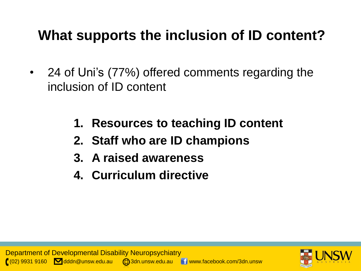### **What supports the inclusion of ID content?**

- 24 of Uni's (77%) offered comments regarding the inclusion of ID content
	- **1. Resources to teaching ID content**
	- **2. Staff who are ID champions**
	- **3. A raised awareness**
	- **4. Curriculum directive**

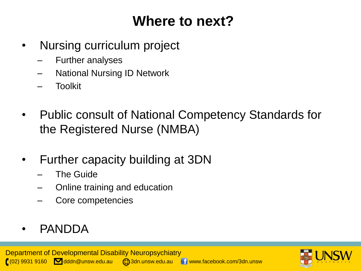### **Where to next?**

- Nursing curriculum project
	- Further analyses
	- National Nursing ID Network
	- Toolkit
- Public consult of National Competency Standards for the Registered Nurse (NMBA)
- Further capacity building at 3DN
	- The Guide
	- Online training and education
	- Core competencies

### • PANDDA